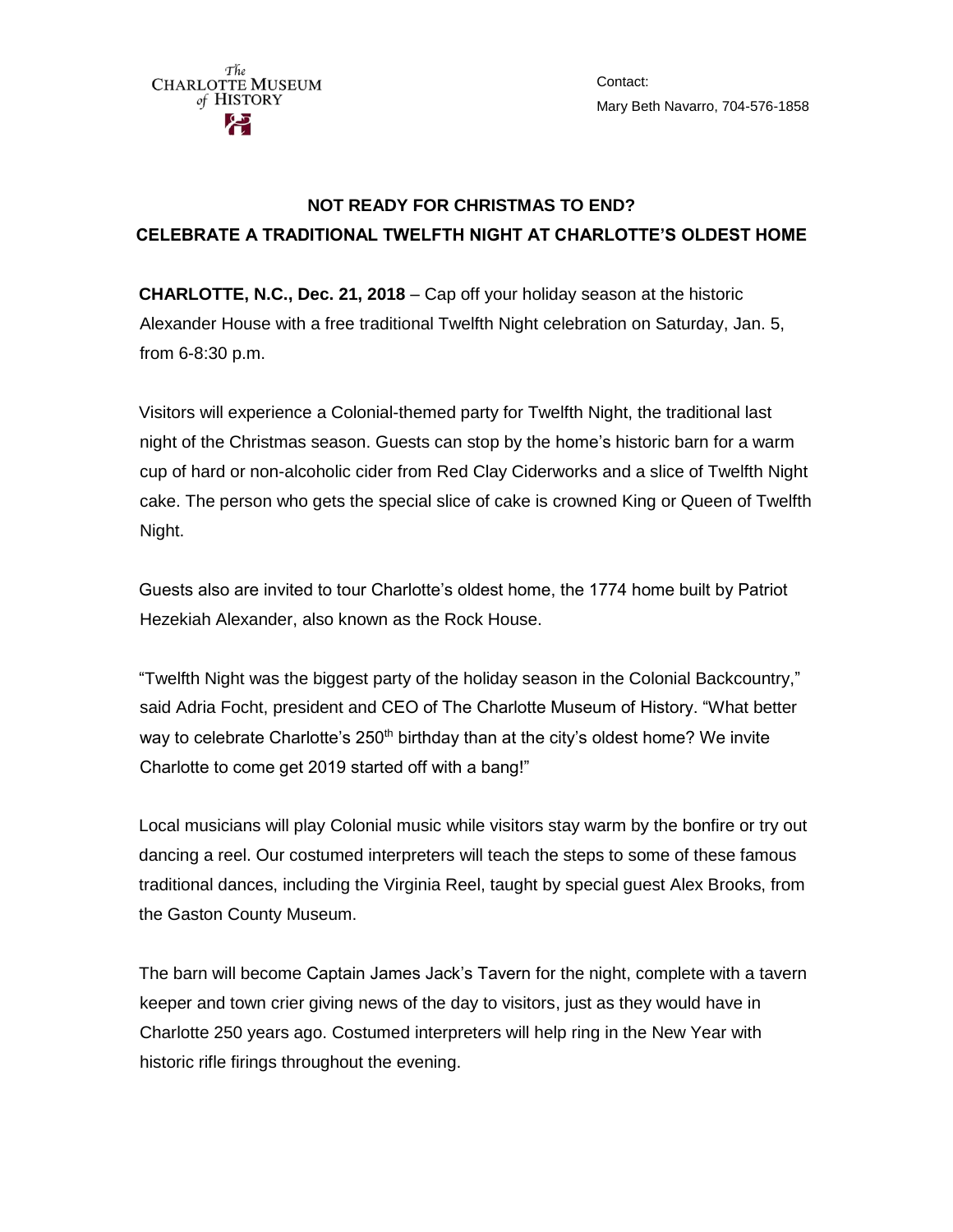Contact: Mary Beth Navarro, 704-576-1858

## **NOT READY FOR CHRISTMAS TO END? CELEBRATE A TRADITIONAL TWELFTH NIGHT AT CHARLOTTE'S OLDEST HOME**

**CHARLOTTE, N.C., Dec. 21, 2018** – Cap off your holiday season at the historic Alexander House with a free traditional Twelfth Night celebration on Saturday, Jan. 5, from 6-8:30 p.m.

Visitors will experience a Colonial-themed party for Twelfth Night, the traditional last night of the Christmas season. Guests can stop by the home's historic barn for a warm cup of hard or non-alcoholic cider from Red Clay Ciderworks and a slice of Twelfth Night cake. The person who gets the special slice of cake is crowned King or Queen of Twelfth Night.

Guests also are invited to tour Charlotte's oldest home, the 1774 home built by Patriot Hezekiah Alexander, also known as the Rock House.

"Twelfth Night was the biggest party of the holiday season in the Colonial Backcountry," said Adria Focht, president and CEO of The Charlotte Museum of History. "What better way to celebrate Charlotte's 250<sup>th</sup> birthday than at the city's oldest home? We invite Charlotte to come get 2019 started off with a bang!"

Local musicians will play Colonial music while visitors stay warm by the bonfire or try out dancing a reel. Our costumed interpreters will teach the steps to some of these famous traditional dances, including the Virginia Reel, taught by special guest Alex Brooks, from the Gaston County Museum.

The barn will become Captain James Jack's Tavern for the night, complete with a tavern keeper and town crier giving news of the day to visitors, just as they would have in Charlotte 250 years ago. Costumed interpreters will help ring in the New Year with historic rifle firings throughout the evening.